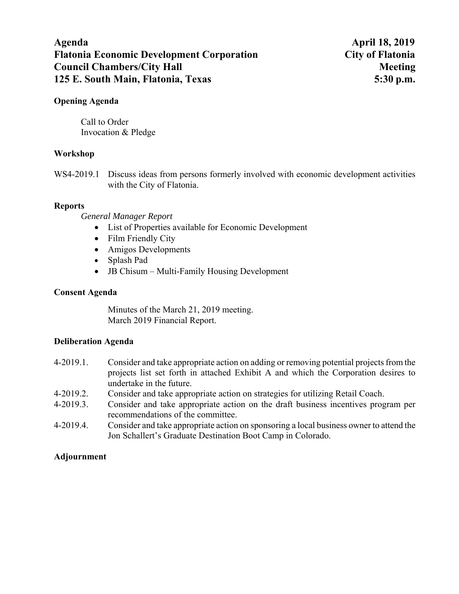# **Agenda April 18, 2019 Flatonia Economic Development Corporation City of Flatonia Council Chambers/City Hall Meeting Meeting Meeting Meeting Meeting Meeting Meeting Meeting Meeting Meeting Meeting Meeting Meeting Meeting Meeting Meeting Meeting Meeting Meeting Meeting Meeting Meeting Meeting Meeting Me 125 E. South Main, Flatonia, Texas 5:30 p.m.**

### **Opening Agenda**

Call to Order Invocation & Pledge

## **Workshop**

WS4-2019.1 Discuss ideas from persons formerly involved with economic development activities with the City of Flatonia.

## **Reports**

*General Manager Report* 

- List of Properties available for Economic Development
- Film Friendly City
- Amigos Developments
- Splash Pad
- JB Chisum Multi-Family Housing Development

# **Consent Agenda**

Minutes of the March 21, 2019 meeting. March 2019 Financial Report.

## **Deliberation Agenda**

- 4-2019.1. Consider and take appropriate action on adding or removing potential projects from the projects list set forth in attached Exhibit A and which the Corporation desires to undertake in the future.
- 4-2019.2. Consider and take appropriate action on strategies for utilizing Retail Coach.
- 4-2019.3. Consider and take appropriate action on the draft business incentives program per recommendations of the committee.
- 4-2019.4. Consider and take appropriate action on sponsoring a local business owner to attend the Jon Schallert's Graduate Destination Boot Camp in Colorado.

# **Adjournment**